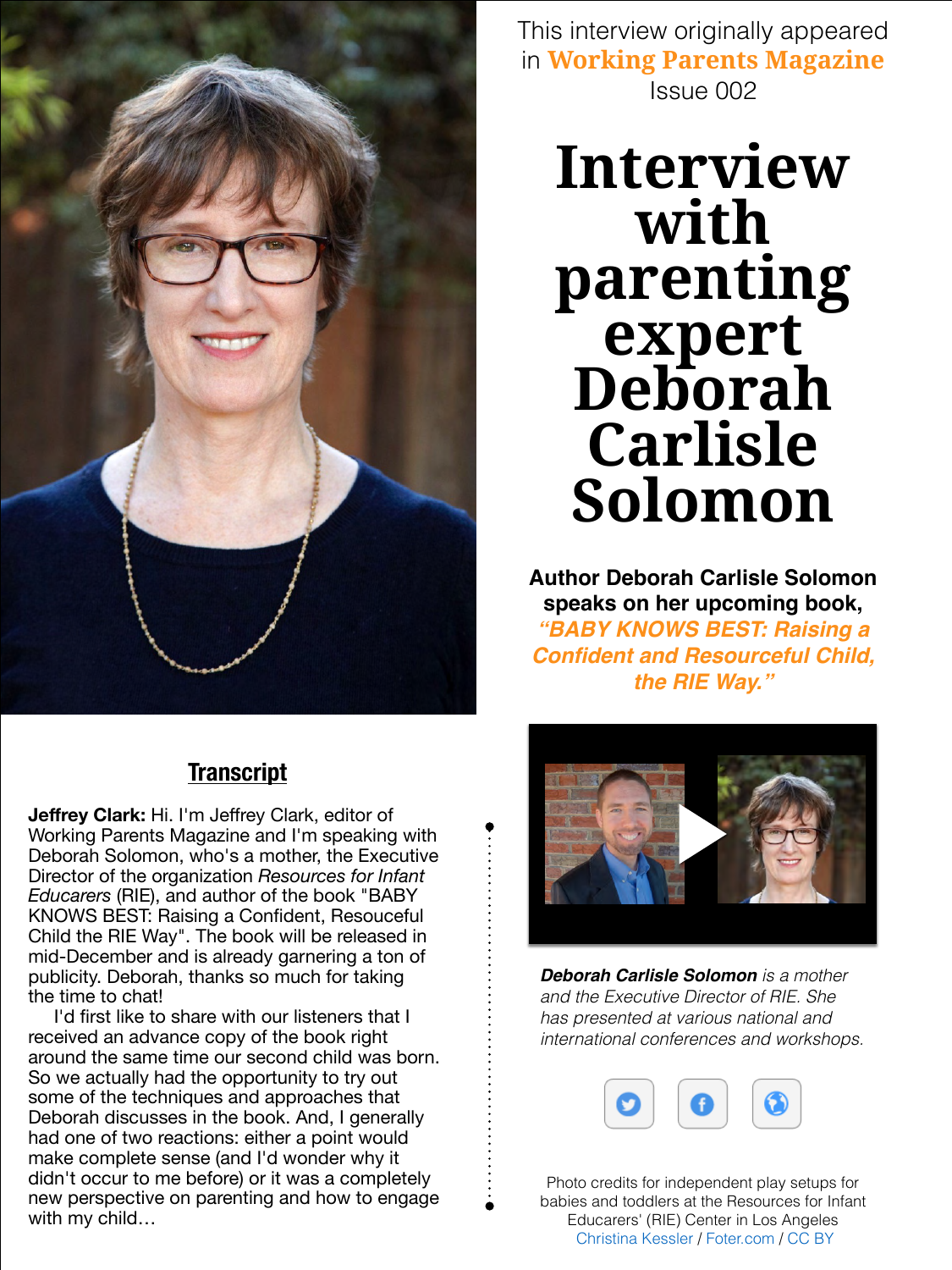**Interview with parenting expert Deborah Carlisle Solomon**

### **Transcript**

**Author Deborah Carlisle Solomon speaks on her upcoming book,**  *"BABY KNOWS BEST: Raising a Confident and Resourceful Child, the RIE Way."*



I'd first like to share with our listeners that I received an advance copy of the book right around the same time our second child was born. So we actually had the opportunity to try out some of the techniques and approaches that Deborah discusses in the book. And, I generally had one of two reactions: either a point would make complete sense (and I'd wonder why it didn't occur to me before) or it was a completely new perspective on parenting and how to engage with my child...

**Jeffrey Clark:** Hi. I'm Jeffrey Clark, editor of Working Parents Magazine and I'm speaking with Deborah Solomon, who's a mother, the Executive Director of the organization *Resources for Infant Educarers* (RIE), and author of the book "BABY KNOWS BEST: Raising a Confident, Resouceful Child the RIE Way". The book will be released in mid-December and is already garnering a ton of publicity. Deborah, thanks so much for taking the time to chat!

*Deborah Carlisle Solomon is a mother and the Executive Director of RIE. She has presented at various national and international conferences and workshops.*



Photo credits for independent play setups for babies and toddlers at the Resources for Infant Educarers' (RIE) Center in Los Angeles [Christina Kessler](http://www.flickr.com/photos/86024504@N05/) / [Foter.com](http://foter.com) / [CC BY](http://creativecommons.org/licenses/by/2.0/)



[This interview originally appeared](http://workingparentsmagazine.com/)  in **Working Parents Magazine** Issue 002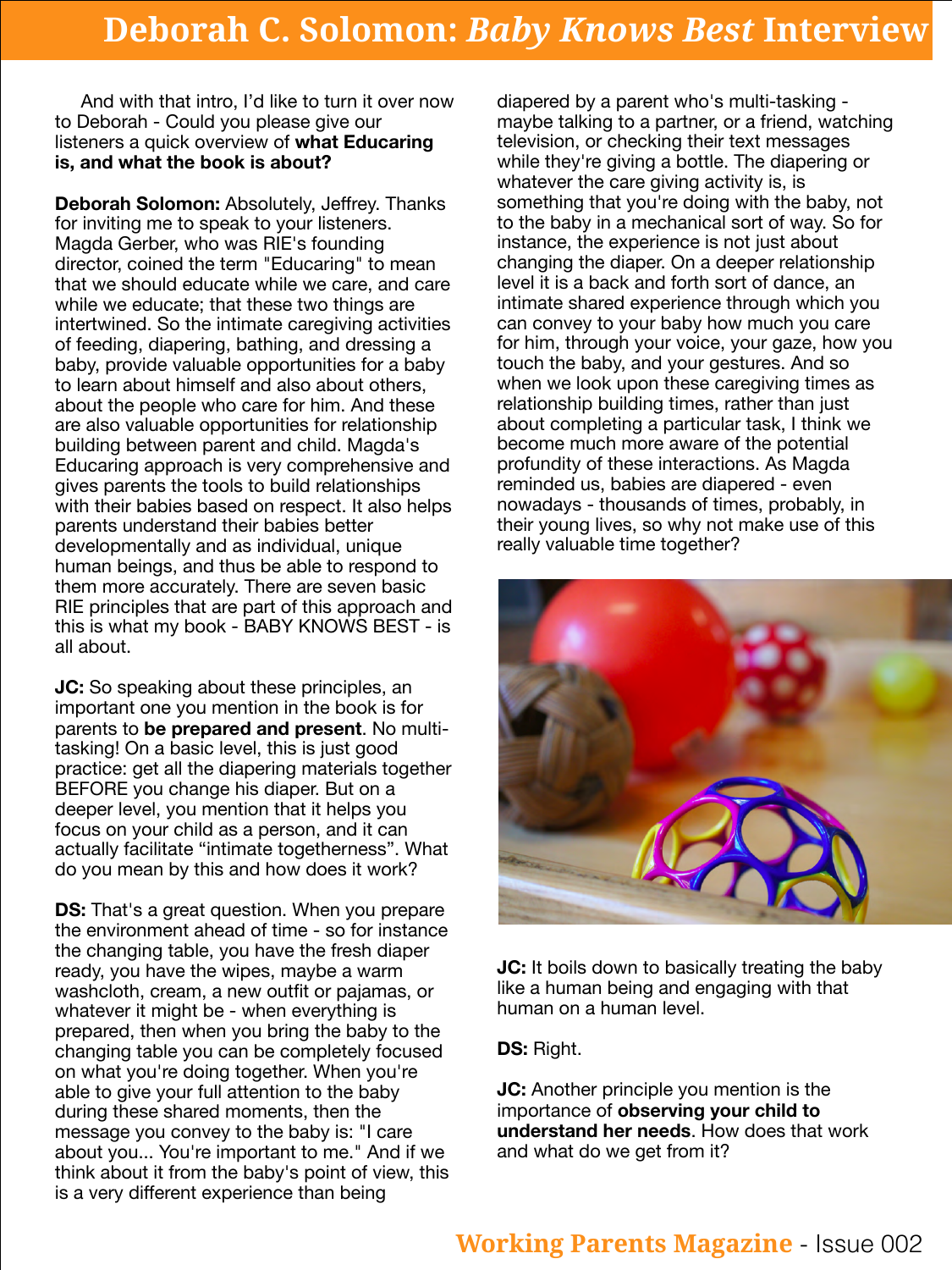And with that intro, I'd like to turn it over now to Deborah - Could you please give our listeners a quick overview of **what Educaring is, and what the book is about?**

**Deborah Solomon:** Absolutely, Jeffrey. Thanks for inviting me to speak to your listeners. Magda Gerber, who was RIE's founding director, coined the term "Educaring" to mean that we should educate while we care, and care while we educate; that these two things are intertwined. So the intimate caregiving activities of feeding, diapering, bathing, and dressing a baby, provide valuable opportunities for a baby to learn about himself and also about others, about the people who care for him. And these are also valuable opportunities for relationship building between parent and child. Magda's Educaring approach is very comprehensive and gives parents the tools to build relationships with their babies based on respect. It also helps parents understand their babies better developmentally and as individual, unique human beings, and thus be able to respond to them more accurately. There are seven basic RIE principles that are part of this approach and this is what my book - BABY KNOWS BEST - is all about.

**JC:** So speaking about these principles, an important one you mention in the book is for parents to **be prepared and present**. No multitasking! On a basic level, this is just good practice: get all the diapering materials together BEFORE you change his diaper. But on a deeper level, you mention that it helps you focus on your child as a person, and it can actually facilitate "intimate togetherness". What do you mean by this and how does it work?

**DS:** That's a great question. When you prepare the environment ahead of time - so for instance the changing table, you have the fresh diaper ready, you have the wipes, maybe a warm washcloth, cream, a new outfit or pajamas, or whatever it might be - when everything is prepared, then when you bring the baby to the changing table you can be completely focused on what you're doing together. When you're able to give your full attention to the baby during these shared moments, then the message you convey to the baby is: "I care about you... You're important to me." And if we think about it from the baby's point of view, this is a very different experience than being



**JC:** It boils down to basically treating the baby like a human being and engaging with that human on a human level.

**JC:** Another principle you mention is the importance of **observing your child to understand her needs**. How does that work and what do we get from it?

diapered by a parent who's multi-tasking maybe talking to a partner, or a friend, watching television, or checking their text messages while they're giving a bottle. The diapering or whatever the care giving activity is, is something that you're doing with the baby, not to the baby in a mechanical sort of way. So for instance, the experience is not just about changing the diaper. On a deeper relationship level it is a back and forth sort of dance, an intimate shared experience through which you can convey to your baby how much you care for him, through your voice, your gaze, how you touch the baby, and your gestures. And so when we look upon these caregiving times as relationship building times, rather than just about completing a particular task, I think we become much more aware of the potential profundity of these interactions. As Magda reminded us, babies are diapered - even nowadays - thousands of times, probably, in their young lives, so why not make use of this really valuable time together?

#### **DS:** Right.

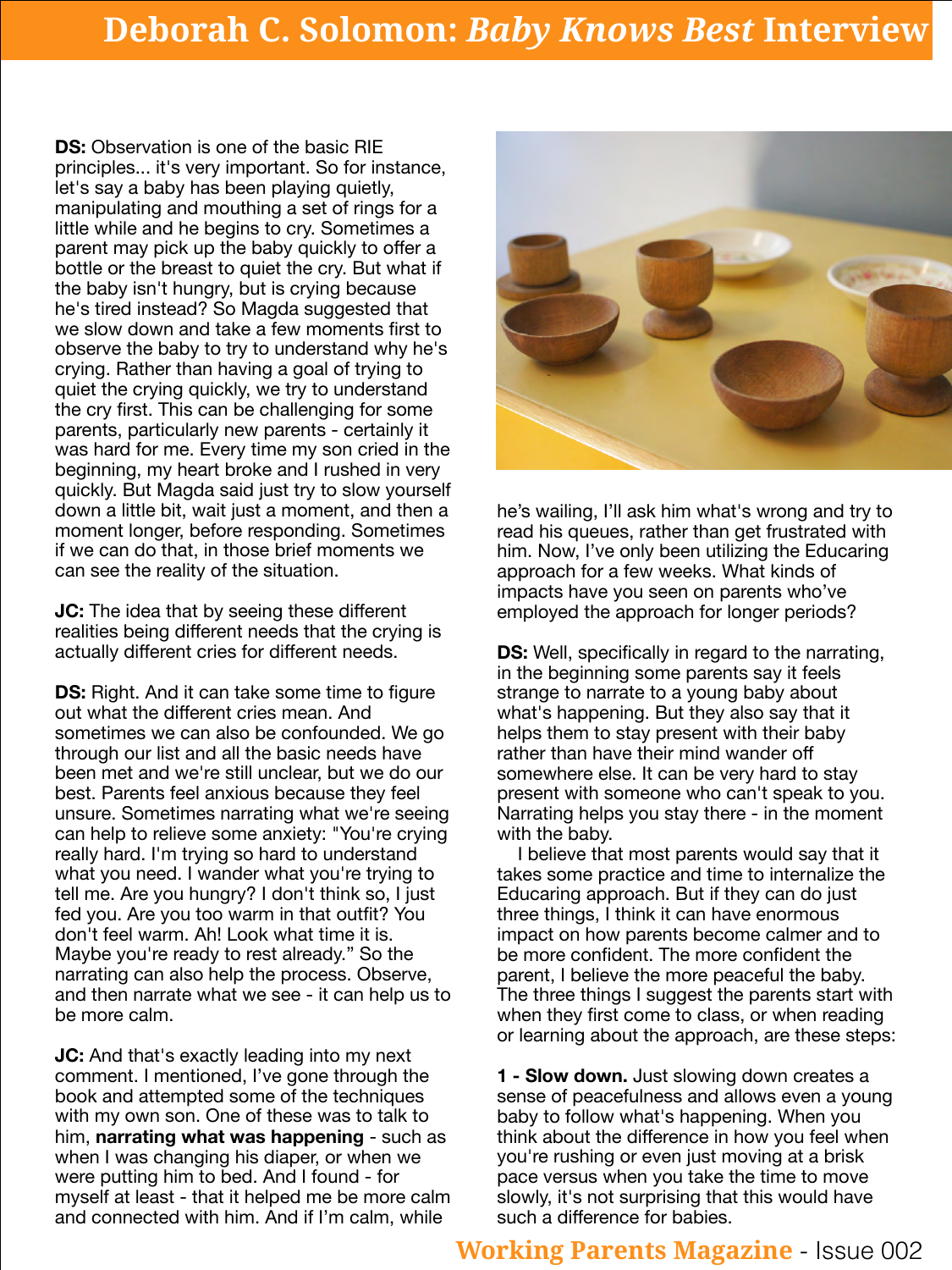**DS:** Observation is one of the basic RIE principles... it's very important. So for instance, let's say a baby has been playing quietly, manipulating and mouthing a set of rings for a little while and he begins to cry. Sometimes a parent may pick up the baby quickly to offer a bottle or the breast to quiet the cry. But what if the baby isn't hungry, but is crying because he's tired instead? So Magda suggested that we slow down and take a few moments first to observe the baby to try to understand why he's crying. Rather than having a goal of trying to quiet the crying quickly, we try to understand the cry first. This can be challenging for some parents, particularly new parents - certainly it was hard for me. Every time my son cried in the beginning, my heart broke and I rushed in very quickly. But Magda said just try to slow yourself down a little bit, wait just a moment, and then a moment longer, before responding. Sometimes if we can do that, in those brief moments we can see the reality of the situation.



**JC:** The idea that by seeing these different realities being different needs that the crying is actually different cries for different needs.

**JC:** And that's exactly leading into my next comment. I mentioned, I've gone through the book and attempted some of the techniques with my own son. One of these was to talk to him, **narrating what was happening** - such as when I was changing his diaper, or when we were putting him to bed. And I found - for myself at least - that it helped me be more calm and connected with him. And if I'm calm, while

**DS:** Right. And it can take some time to figure out what the different cries mean. And sometimes we can also be confounded. We go through our list and all the basic needs have been met and we're still unclear, but we do our best. Parents feel anxious because they feel unsure. Sometimes narrating what we're seeing can help to relieve some anxiety: "You're crying really hard. I'm trying so hard to understand what you need. I wander what you're trying to tell me. Are you hungry? I don't think so, I just fed you. Are you too warm in that outfit? You don't feel warm. Ah! Look what time it is. Maybe you're ready to rest already." So the narrating can also help the process. Observe, and then narrate what we see - it can help us to be more calm.

he's wailing, I'll ask him what's wrong and try to read his queues, rather than get frustrated with him. Now, I've only been utilizing the Educaring approach for a few weeks. What kinds of impacts have you seen on parents who've employed the approach for longer periods?

**DS:** Well, specifically in regard to the narrating, in the beginning some parents say it feels strange to narrate to a young baby about what's happening. But they also say that it helps them to stay present with their baby rather than have their mind wander off somewhere else. It can be very hard to stay present with someone who can't speak to you. Narrating helps you stay there - in the moment with the baby.

 I believe that most parents would say that it takes some practice and time to internalize the Educaring approach. But if they can do just three things, I think it can have enormous impact on how parents become calmer and to be more confident. The more confident the parent, I believe the more peaceful the baby. The three things I suggest the parents start with when they first come to class, or when reading or learning about the approach, are these steps:

**1 - Slow down.** Just slowing down creates a sense of peacefulness and allows even a young baby to follow what's happening. When you think about the difference in how you feel when you're rushing or even just moving at a brisk pace versus when you take the time to move slowly, it's not surprising that this would have such a difference for babies.

## **Deborah C. Solomon:** *Baby Knows Best* **Interview**

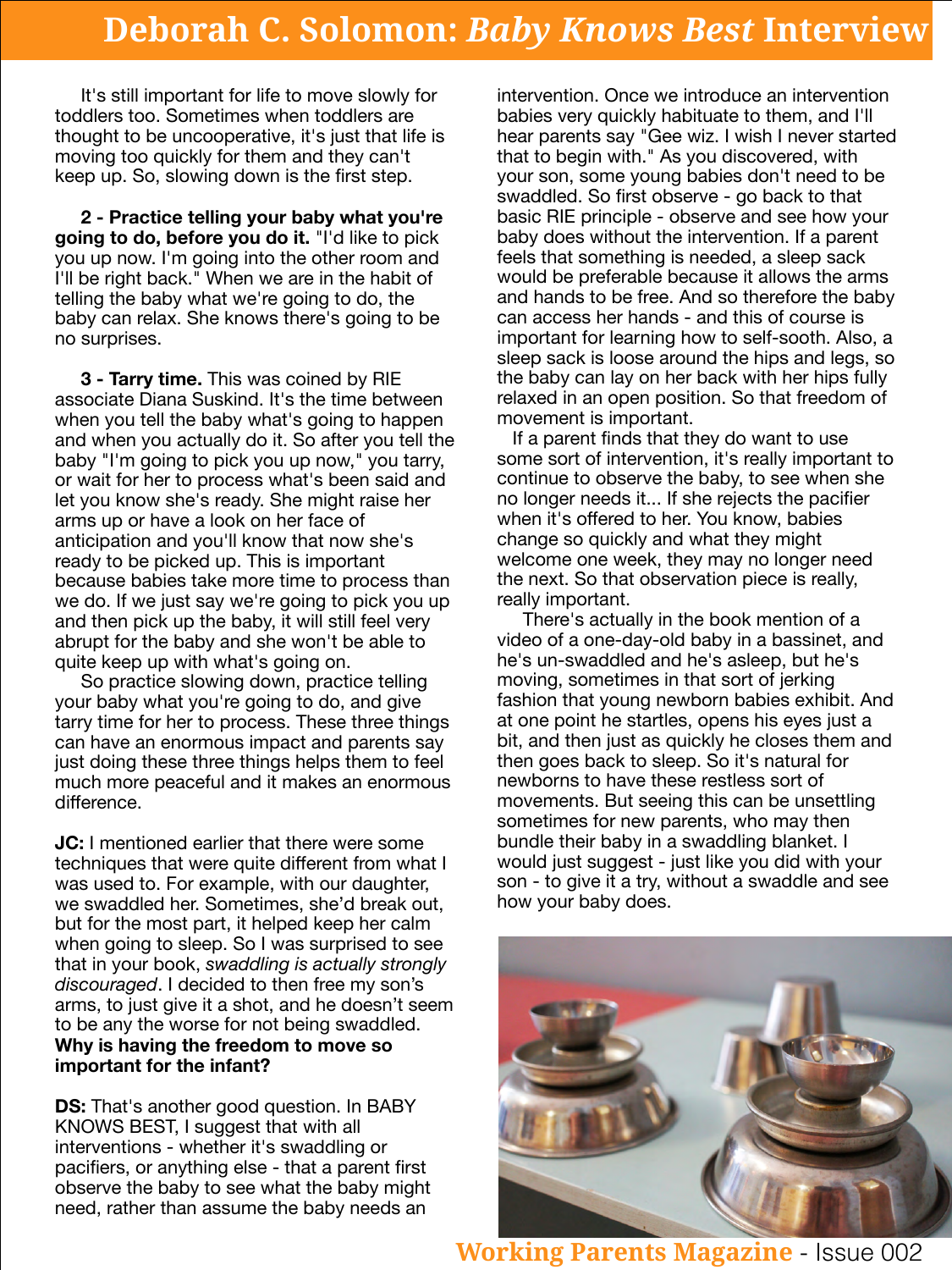It's still important for life to move slowly for toddlers too. Sometimes when toddlers are thought to be uncooperative, it's just that life is moving too quickly for them and they can't keep up. So, slowing down is the first step.

**2 - Practice telling your baby what you're going to do, before you do it.** "I'd like to pick you up now. I'm going into the other room and I'll be right back." When we are in the habit of telling the baby what we're going to do, the baby can relax. She knows there's going to be no surprises.

**3 - Tarry time.** This was coined by RIE associate Diana Suskind. It's the time between when you tell the baby what's going to happen and when you actually do it. So after you tell the baby "I'm going to pick you up now," you tarry, or wait for her to process what's been said and let you know she's ready. She might raise her arms up or have a look on her face of anticipation and you'll know that now she's ready to be picked up. This is important because babies take more time to process than we do. If we just say we're going to pick you up and then pick up the baby, it will still feel very abrupt for the baby and she won't be able to quite keep up with what's going on. So practice slowing down, practice telling your baby what you're going to do, and give tarry time for her to process. These three things can have an enormous impact and parents say just doing these three things helps them to feel much more peaceful and it makes an enormous difference.

**JC:** I mentioned earlier that there were some techniques that were quite different from what I was used to. For example, with our daughter, we swaddled her. Sometimes, she'd break out, but for the most part, it helped keep her calm when going to sleep. So I was surprised to see that in your book, *swaddling is actually strongly discouraged*. I decided to then free my son's arms, to just give it a shot, and he doesn't seem to be any the worse for not being swaddled. **Why is having the freedom to move so important for the infant?**

**DS:** That's another good question. In BABY



KNOWS BEST, I suggest that with all interventions - whether it's swaddling or pacifiers, or anything else - that a parent first observe the baby to see what the baby might need, rather than assume the baby needs an

intervention. Once we introduce an intervention babies very quickly habituate to them, and I'll hear parents say "Gee wiz. I wish I never started that to begin with." As you discovered, with your son, some young babies don't need to be swaddled. So first observe - go back to that basic RIE principle - observe and see how your baby does without the intervention. If a parent feels that something is needed, a sleep sack would be preferable because it allows the arms and hands to be free. And so therefore the baby can access her hands - and this of course is important for learning how to self-sooth. Also, a sleep sack is loose around the hips and legs, so the baby can lay on her back with her hips fully relaxed in an open position. So that freedom of movement is important.

 If a parent finds that they do want to use some sort of intervention, it's really important to continue to observe the baby, to see when she no longer needs it... If she rejects the pacifier when it's offered to her. You know, babies change so quickly and what they might welcome one week, they may no longer need the next. So that observation piece is really, really important. There's actually in the book mention of a video of a one-day-old baby in a bassinet, and he's un-swaddled and he's asleep, but he's moving, sometimes in that sort of jerking fashion that young newborn babies exhibit. And at one point he startles, opens his eyes just a bit, and then just as quickly he closes them and then goes back to sleep. So it's natural for newborns to have these restless sort of movements. But seeing this can be unsettling sometimes for new parents, who may then bundle their baby in a swaddling blanket. I would just suggest - just like you did with your son - to give it a try, without a swaddle and see how your baby does.

**[Working Parents Magazine](http://workingparentsmagazine.com/)** - Issue 002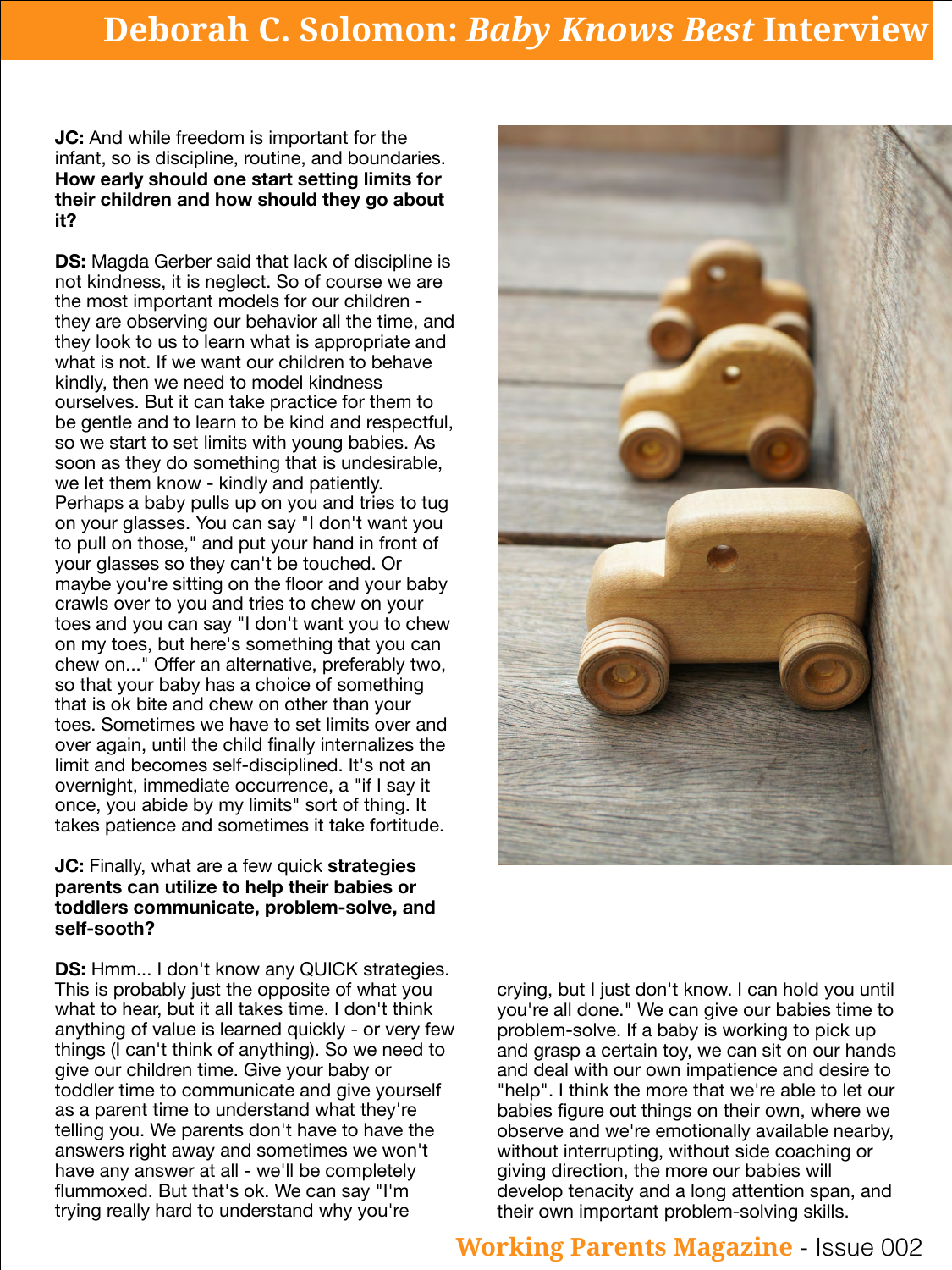**JC:** And while freedom is important for the infant, so is discipline, routine, and boundaries. **How early should one start setting limits for their children and how should they go about it?**

**DS:** Magda Gerber said that lack of discipline is not kindness, it is neglect. So of course we are the most important models for our children they are observing our behavior all the time, and they look to us to learn what is appropriate and what is not. If we want our children to behave kindly, then we need to model kindness ourselves. But it can take practice for them to be gentle and to learn to be kind and respectful, so we start to set limits with young babies. As soon as they do something that is undesirable, we let them know - kindly and patiently. Perhaps a baby pulls up on you and tries to tug on your glasses. You can say "I don't want you to pull on those," and put your hand in front of your glasses so they can't be touched. Or maybe you're sitting on the floor and your baby crawls over to you and tries to chew on your toes and you can say "I don't want you to chew on my toes, but here's something that you can chew on..." Offer an alternative, preferably two, so that your baby has a choice of something that is ok bite and chew on other than your toes. Sometimes we have to set limits over and over again, until the child finally internalizes the limit and becomes self-disciplined. It's not an overnight, immediate occurrence, a "if I say it once, you abide by my limits" sort of thing. It takes patience and sometimes it take fortitude.



#### **JC:** Finally, what are a few quick **strategies parents can utilize to help their babies or toddlers communicate, problem-solve, and self-sooth?**

**DS:** Hmm... I don't know any QUICK strategies. This is probably just the opposite of what you what to hear, but it all takes time. I don't think anything of value is learned quickly - or very few things (I can't think of anything). So we need to give our children time. Give your baby or toddler time to communicate and give yourself as a parent time to understand what they're telling you. We parents don't have to have the answers right away and sometimes we won't have any answer at all - we'll be completely flummoxed. But that's ok. We can say "I'm trying really hard to understand why you're

#### crying, but I just don't know. I can hold you until you're all done." We can give our babies time to problem-solve. If a baby is working to pick up and grasp a certain toy, we can sit on our hands and deal with our own impatience and desire to "help". I think the more that we're able to let our babies figure out things on their own, where we

observe and we're emotionally available nearby, without interrupting, without side coaching or giving direction, the more our babies will develop tenacity and a long attention span, and their own important problem-solving skills.

## **Deborah C. Solomon:** *Baby Knows Best* **Interview**